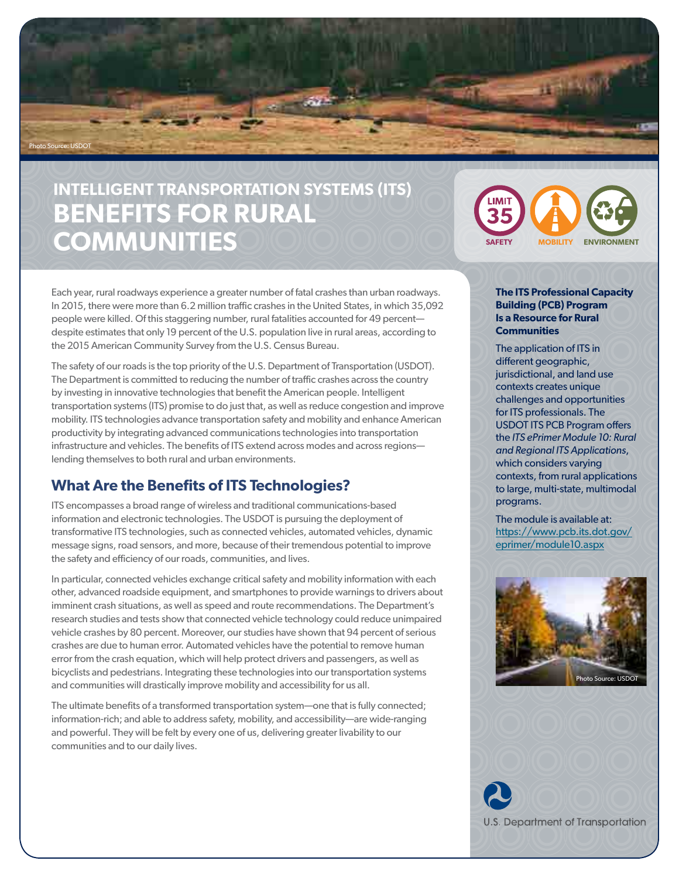

# **INTELLIGENT TRANSPORTATION SYSTEMS (ITS) BENEFITS FOR RURAL**   $\text{COMMUNITIES}$  **SAFETY MOBILITY** ENVIRONMENT



Each year, rural roadways experience a greater number of fatal crashes than urban roadways. In 2015, there were more than 6.2 million traffic crashes in the United States, in which 35,092 people were killed. Of this staggering number, rural fatalities accounted for 49 percent despite estimates that only 19 percent of the U.S. population live in rural areas, according to the 2015 American Community Survey from the U.S. Census Bureau.

The safety of our roads is the top priority of the U.S. Department of Transportation (USDOT). The Department is committed to reducing the number of traffic crashes across the country by investing in innovative technologies that benefit the American people. Intelligent transportation systems (ITS) promise to do just that, as well as reduce congestion and improve mobility. ITS technologies advance transportation safety and mobility and enhance American productivity by integrating advanced communications technologies into transportation infrastructure and vehicles. The benefits of ITS extend across modes and across regions lending themselves to both rural and urban environments.

# **What Are the Benefits of ITS Technologies?**

ITS encompasses a broad range of wireless and traditional communications-based information and electronic technologies. The USDOT is pursuing the deployment of transformative ITS technologies, such as connected vehicles, automated vehicles, dynamic message signs, road sensors, and more, because of their tremendous potential to improve the safety and efficiency of our roads, communities, and lives.

In particular, connected vehicles exchange critical safety and mobility information with each other, advanced roadside equipment, and smartphones to provide warnings to drivers about imminent crash situations, as well as speed and route recommendations. The Department's research studies and tests show that connected vehicle technology could reduce unimpaired vehicle crashes by 80 percent. Moreover, our studies have shown that 94 percent of serious crashes are due to human error. Automated vehicles have the potential to remove human error from the crash equation, which will help protect drivers and passengers, as well as bicyclists and pedestrians. Integrating these technologies into our transportation systems and communities will drastically improve mobility and accessibility for us all.

The ultimate benefits of a transformed transportation system—one that is fully connected; information-rich; and able to address safety, mobility, and accessibility—are wide-ranging and powerful. They will be felt by every one of us, delivering greater livability to our communities and to our daily lives.

### **The ITS Professional Capacity Building (PCB) Program Is a Resource for Rural Communities**

The application of ITS in different geographic, jurisdictional, and land use contexts creates unique challenges and opportunities for ITS professionals. The USDOT ITS PCB Program offers the *ITS ePrimer Module 10: Rural and Regional ITS Applications*, which considers varying contexts, from rural applications to large, multi-state, multimodal programs.

The module is available at: [https://www.pcb.its.dot.gov/](https://www.pcb.its.dot.gov/eprimer/module10.aspx) [eprimer/module10.aspx](https://www.pcb.its.dot.gov/eprimer/module10.aspx)



**U.S. Department of Transportation**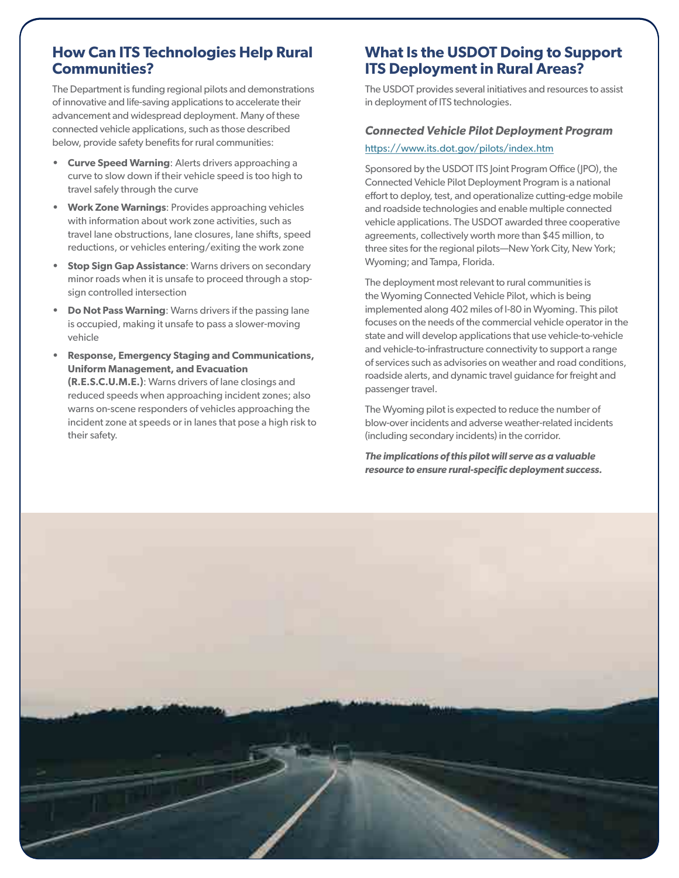# **How Can ITS Technologies Help Rural Communities?**

The Department is funding regional pilots and demonstrations of innovative and life-saving applications to accelerate their advancement and widespread deployment. Many of these connected vehicle applications, such as those described below, provide safety benefits for rural communities:

- **• Curve Speed Warning**: Alerts drivers approaching a curve to slow down if their vehicle speed is too high to travel safely through the curve
- **• Work Zone Warnings**: Provides approaching vehicles with information about work zone activities, such as travel lane obstructions, lane closures, lane shifts, speed reductions, or vehicles entering/exiting the work zone
- **Stop Sign Gap Assistance: Warns drivers on secondary** minor roads when it is unsafe to proceed through a stopsign controlled intersection
- **• Do Not Pass Warning**: Warns drivers if the passing lane is occupied, making it unsafe to pass a slower-moving vehicle
- **• Response, Emergency Staging and Communications, Uniform Management, and Evacuation (R.E.S.C.U.M.E.)**: Warns drivers of lane closings and reduced speeds when approaching incident zones; also warns on-scene responders of vehicles approaching the incident zone at speeds or in lanes that pose a high risk to their safety.

# **What Is the USDOT Doing to Support ITS Deployment in Rural Areas?**

The USDOT provides several initiatives and resources to assist in deployment of ITS technologies.

# *Connected Vehicle Pilot Deployment Program*

## <https://www.its.dot.gov/pilots/index.htm>

Sponsored by the USDOT ITS Joint Program Office (JPO), the Connected Vehicle Pilot Deployment Program is a national effort to deploy, test, and operationalize cutting-edge mobile and roadside technologies and enable multiple connected vehicle applications. The USDOT awarded three cooperative agreements, collectively worth more than \$45 million, to three sites for the regional pilots—New York City, New York; Wyoming; and Tampa, Florida.

The deployment most relevant to rural communities is the Wyoming Connected Vehicle Pilot, which is being implemented along 402 miles of I-80 in Wyoming. This pilot focuses on the needs of the commercial vehicle operator in the state and will develop applications that use vehicle-to-vehicle and vehicle-to-infrastructure connectivity to support a range of services such as advisories on weather and road conditions, roadside alerts, and dynamic travel guidance for freight and passenger travel.

The Wyoming pilot is expected to reduce the number of blow-over incidents and adverse weather-related incidents (including secondary incidents) in the corridor.

*The implications of this pilot will serve as a valuable resource to ensure rural-specific deployment success.*

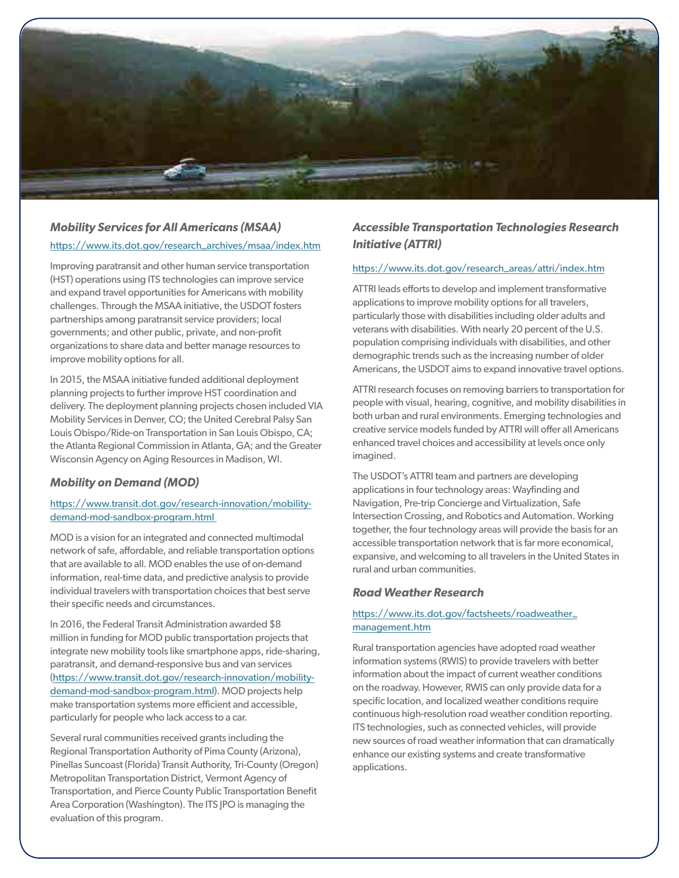

## *Mobility Services for All Americans (MSAA)*

### [https://www.its.dot.gov/research\\_archives/msaa/index.htm](https://www.its.dot.gov/research_archives/msaa/index.htm)

Improving paratransit and other human service transportation (HST) operations using ITS technologies can improve service and expand travel opportunities for Americans with mobility challenges. Through the MSAA initiative, the USDOT fosters partnerships among paratransit service providers; local governments; and other public, private, and non-profit organizations to share data and better manage resources to improve mobility options for all.

In 2015, the MSAA initiative funded additional deployment planning projects to further improve HST coordination and delivery. The deployment planning projects chosen included VIA Mobility Services in Denver, CO; the United Cerebral Palsy San Louis Obispo/Ride-on Transportation in San Louis Obispo, CA; the Atlanta Regional Commission in Atlanta, GA; and the Greater Wisconsin Agency on Aging Resources in Madison, WI.

## *Mobility on Demand (MOD)*

## [https://www.transit.dot.gov/research-innovation/mobility](https://www.transit.dot.gov/research-innovation/mobility-demand-mod-sandbox-program.html )[demand-mod-sandbox-program.html](https://www.transit.dot.gov/research-innovation/mobility-demand-mod-sandbox-program.html )

MOD is a vision for an integrated and connected multimodal network of safe, affordable, and reliable transportation options that are available to all. MOD enables the use of on-demand information, real-time data, and predictive analysis to provide individual travelers with transportation choices that best serve their specific needs and circumstances.

In 2016, the Federal Transit Administration awarded \$8 million in funding for MOD public transportation projects that integrate new mobility tools like smartphone apps, ride-sharing, paratransit, and demand-responsive bus and van services ([https://www.transit.dot.gov/research-innovation/mobility](https://www.transit.dot.gov/research-innovation/mobility-demand-mod-sandbox-program.html)[demand-mod-sandbox-program.html](https://www.transit.dot.gov/research-innovation/mobility-demand-mod-sandbox-program.html)). MOD projects help make transportation systems more efficient and accessible, particularly for people who lack access to a car.

Several rural communities received grants including the Regional Transportation Authority of Pima County (Arizona), Pinellas Suncoast (Florida) Transit Authority, Tri-County (Oregon) Metropolitan Transportation District, Vermont Agency of Transportation, and Pierce County Public Transportation Benefit Area Corporation (Washington). The ITS JPO is managing the evaluation of this program.

## *Accessible Transportation Technologies Research Initiative (ATTRI)*

## [https://www.its.dot.gov/research\\_areas/attri/index.htm](https://www.its.dot.gov/research_areas/attri/index.htm)

ATTRI leads efforts to develop and implement transformative applications to improve mobility options for all travelers, particularly those with disabilities including older adults and veterans with disabilities. With nearly 20 percent of the U.S. population comprising individuals with disabilities, and other demographic trends such as the increasing number of older Americans, the USDOT aims to expand innovative travel options.

ATTRI research focuses on removing barriers to transportation for people with visual, hearing, cognitive, and mobility disabilities in both urban and rural environments. Emerging technologies and creative service models funded by ATTRI will offer all Americans enhanced travel choices and accessibility at levels once only imagined.

The USDOT's ATTRI team and partners are developing applications in four technology areas: Wayfinding and Navigation, Pre-trip Concierge and Virtualization, Safe Intersection Crossing, and Robotics and Automation. Working together, the four technology areas will provide the basis for an accessible transportation network that is far more economical, expansive, and welcoming to all travelers in the United States in rural and urban communities.

## *Road Weather Research*

### [https://www.its.dot.gov/factsheets/roadweather\\_](https://www.its.dot.gov/factsheets/roadweather_management.htm) [management.htm](https://www.its.dot.gov/factsheets/roadweather_management.htm)

Rural transportation agencies have adopted road weather information systems (RWIS) to provide travelers with better information about the impact of current weather conditions on the roadway. However, RWIS can only provide data for a specific location, and localized weather conditions require continuous high-resolution road weather condition reporting. ITS technologies, such as connected vehicles, will provide new sources of road weather information that can dramatically enhance our existing systems and create transformative applications.